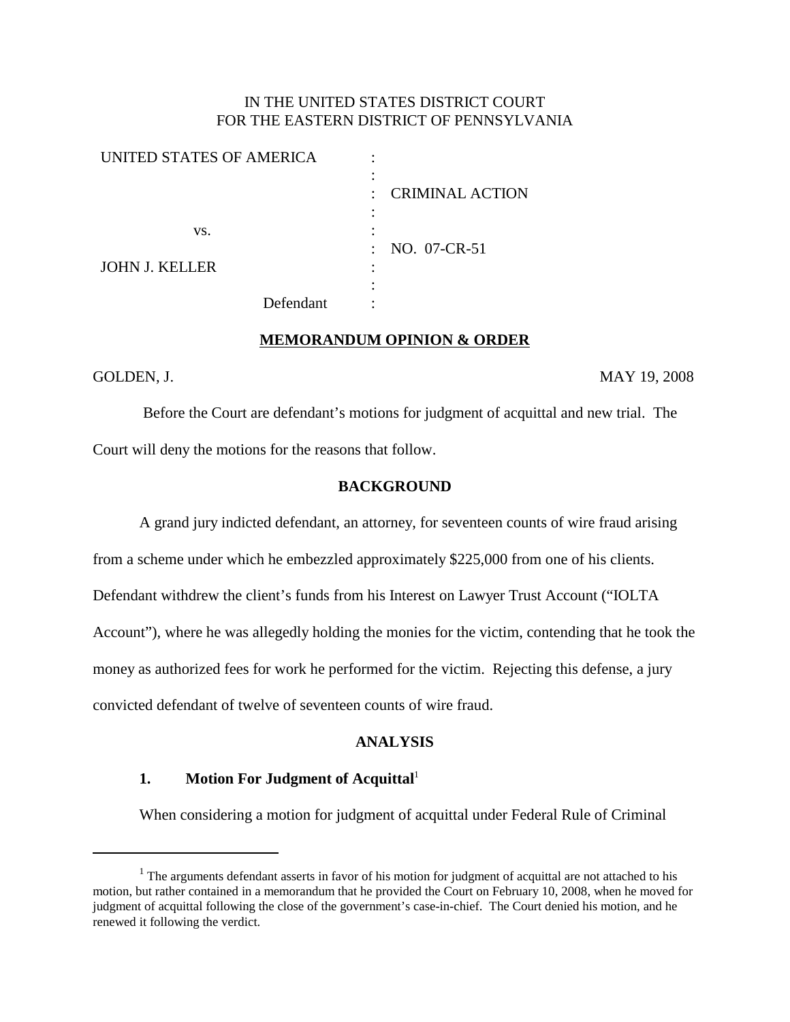## IN THE UNITED STATES DISTRICT COURT FOR THE EASTERN DISTRICT OF PENNSYLVANIA

| <b>UNITED STATES OF AMERICA</b> |           |         |                        |
|---------------------------------|-----------|---------|------------------------|
|                                 |           |         |                        |
|                                 |           | $\cdot$ | <b>CRIMINAL ACTION</b> |
|                                 |           |         |                        |
| VS.                             |           |         |                        |
|                                 |           | $\sim$  | NO. 07-CR-51           |
| <b>JOHN J. KELLER</b>           |           |         |                        |
|                                 |           |         |                        |
|                                 | Defendant |         |                        |
|                                 |           |         |                        |

#### **MEMORANDUM OPINION & ORDER**

GOLDEN, J. MAY 19, 2008

Before the Court are defendant's motions for judgment of acquittal and new trial. The Court will deny the motions for the reasons that follow.

## **BACKGROUND**

A grand jury indicted defendant, an attorney, for seventeen counts of wire fraud arising

from a scheme under which he embezzled approximately \$225,000 from one of his clients.

Defendant withdrew the client's funds from his Interest on Lawyer Trust Account ("IOLTA

Account"), where he was allegedly holding the monies for the victim, contending that he took the

money as authorized fees for work he performed for the victim. Rejecting this defense, a jury

convicted defendant of twelve of seventeen counts of wire fraud.

### **ANALYSIS**

## **1. Motion For Judgment of Acquittal** 1

When considering a motion for judgment of acquittal under Federal Rule of Criminal

<sup>&</sup>lt;sup>1</sup> The arguments defendant asserts in favor of his motion for judgment of acquittal are not attached to his motion, but rather contained in a memorandum that he provided the Court on February 10, 2008, when he moved for judgment of acquittal following the close of the government's case-in-chief. The Court denied his motion, and he renewed it following the verdict.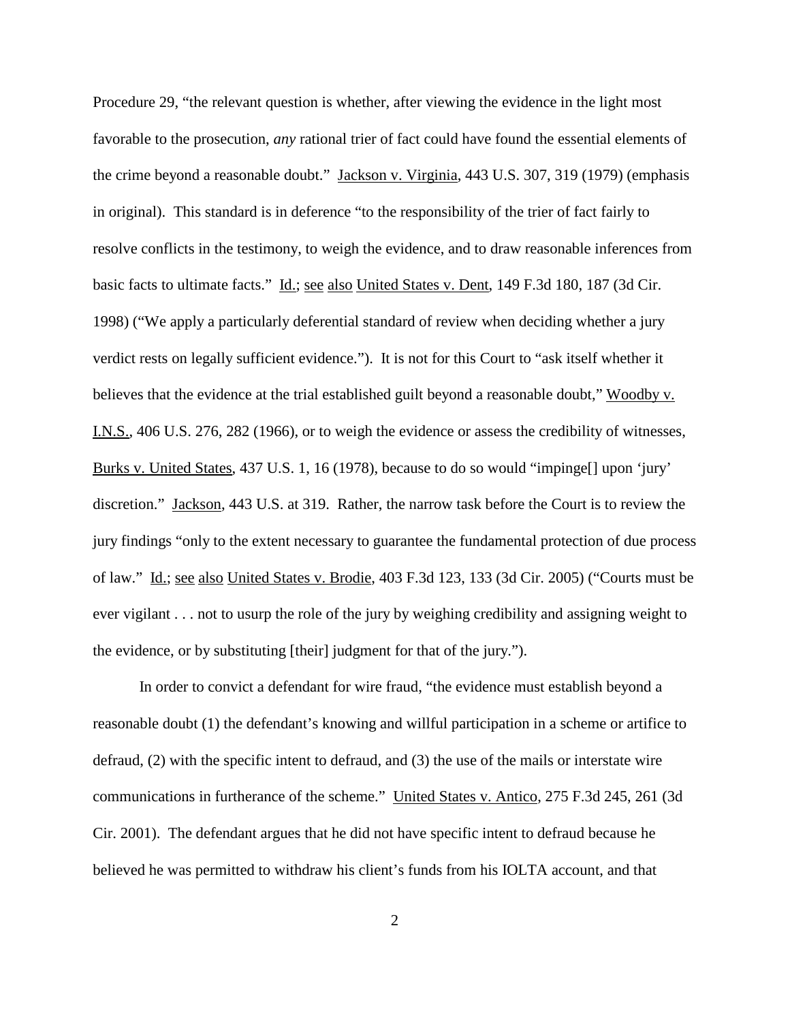Procedure 29, "the relevant question is whether, after viewing the evidence in the light most favorable to the prosecution, *any* rational trier of fact could have found the essential elements of the crime beyond a reasonable doubt." Jackson v. Virginia, 443 U.S. 307, 319 (1979) (emphasis in original). This standard is in deference "to the responsibility of the trier of fact fairly to resolve conflicts in the testimony, to weigh the evidence, and to draw reasonable inferences from basic facts to ultimate facts." Id.; see also United States v. Dent, 149 F.3d 180, 187 (3d Cir. 1998) ("We apply a particularly deferential standard of review when deciding whether a jury verdict rests on legally sufficient evidence."). It is not for this Court to "ask itself whether it believes that the evidence at the trial established guilt beyond a reasonable doubt," Woodby v. I.N.S., 406 U.S. 276, 282 (1966), or to weigh the evidence or assess the credibility of witnesses, Burks v. United States, 437 U.S. 1, 16 (1978), because to do so would "impinge[] upon 'jury' discretion." Jackson, 443 U.S. at 319. Rather, the narrow task before the Court is to review the jury findings "only to the extent necessary to guarantee the fundamental protection of due process of law." Id.; see also United States v. Brodie, 403 F.3d 123, 133 (3d Cir. 2005) ("Courts must be ever vigilant . . . not to usurp the role of the jury by weighing credibility and assigning weight to the evidence, or by substituting [their] judgment for that of the jury.").

In order to convict a defendant for wire fraud, "the evidence must establish beyond a reasonable doubt (1) the defendant's knowing and willful participation in a scheme or artifice to defraud, (2) with the specific intent to defraud, and (3) the use of the mails or interstate wire communications in furtherance of the scheme." United States v. Antico, 275 F.3d 245, 261 (3d Cir. 2001). The defendant argues that he did not have specific intent to defraud because he believed he was permitted to withdraw his client's funds from his IOLTA account, and that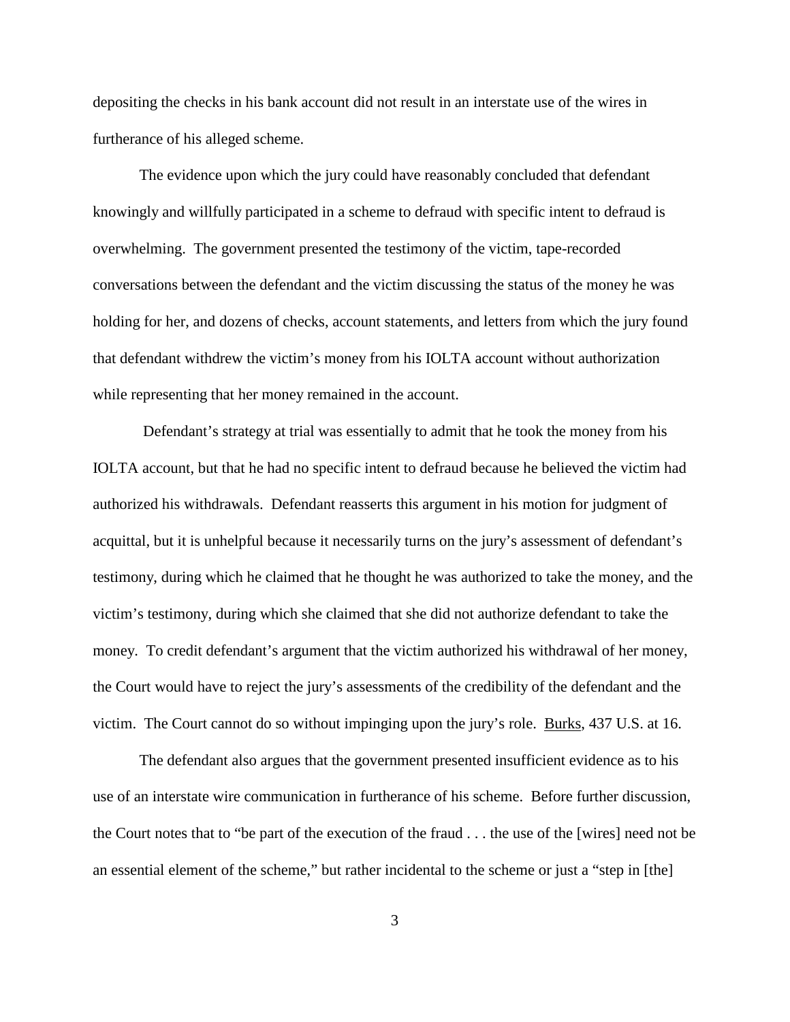depositing the checks in his bank account did not result in an interstate use of the wires in furtherance of his alleged scheme.

The evidence upon which the jury could have reasonably concluded that defendant knowingly and willfully participated in a scheme to defraud with specific intent to defraud is overwhelming. The government presented the testimony of the victim, tape-recorded conversations between the defendant and the victim discussing the status of the money he was holding for her, and dozens of checks, account statements, and letters from which the jury found that defendant withdrew the victim's money from his IOLTA account without authorization while representing that her money remained in the account.

Defendant's strategy at trial was essentially to admit that he took the money from his IOLTA account, but that he had no specific intent to defraud because he believed the victim had authorized his withdrawals. Defendant reasserts this argument in his motion for judgment of acquittal, but it is unhelpful because it necessarily turns on the jury's assessment of defendant's testimony, during which he claimed that he thought he was authorized to take the money, and the victim's testimony, during which she claimed that she did not authorize defendant to take the money. To credit defendant's argument that the victim authorized his withdrawal of her money, the Court would have to reject the jury's assessments of the credibility of the defendant and the victim. The Court cannot do so without impinging upon the jury's role. Burks, 437 U.S. at 16.

The defendant also argues that the government presented insufficient evidence as to his use of an interstate wire communication in furtherance of his scheme. Before further discussion, the Court notes that to "be part of the execution of the fraud . . . the use of the [wires] need not be an essential element of the scheme," but rather incidental to the scheme or just a "step in [the]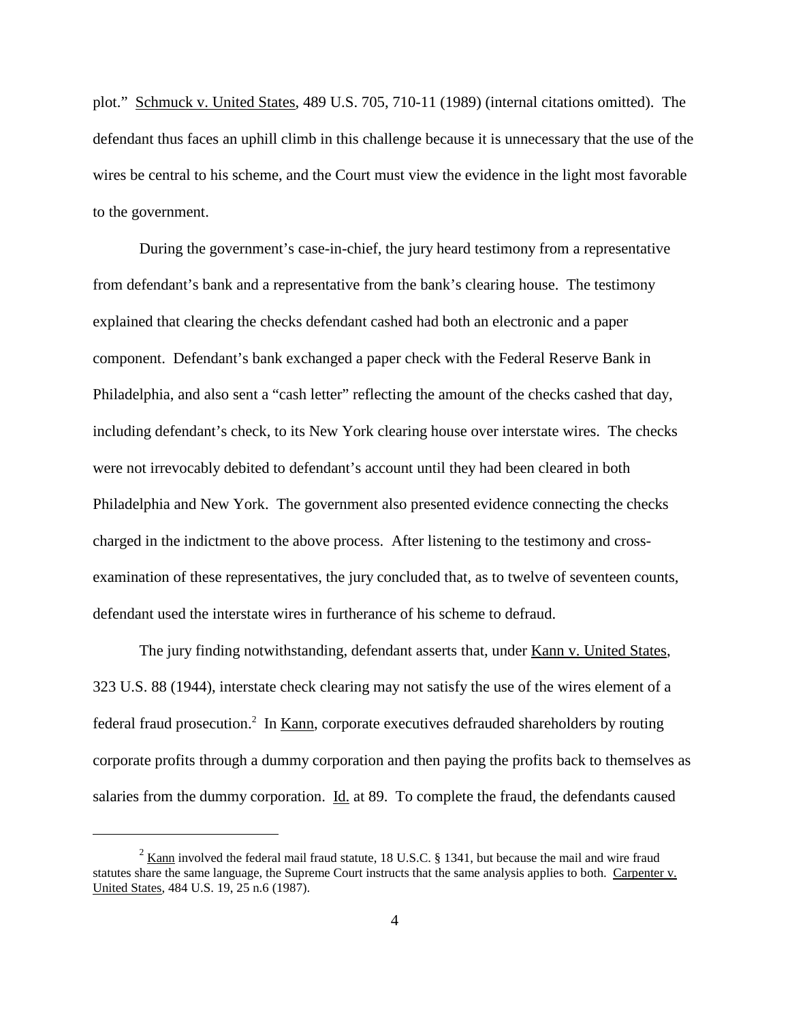plot." Schmuck v. United States, 489 U.S. 705, 710-11 (1989) (internal citations omitted). The defendant thus faces an uphill climb in this challenge because it is unnecessary that the use of the wires be central to his scheme, and the Court must view the evidence in the light most favorable to the government.

During the government's case-in-chief, the jury heard testimony from a representative from defendant's bank and a representative from the bank's clearing house. The testimony explained that clearing the checks defendant cashed had both an electronic and a paper component. Defendant's bank exchanged a paper check with the Federal Reserve Bank in Philadelphia, and also sent a "cash letter" reflecting the amount of the checks cashed that day, including defendant's check, to its New York clearing house over interstate wires. The checks were not irrevocably debited to defendant's account until they had been cleared in both Philadelphia and New York. The government also presented evidence connecting the checks charged in the indictment to the above process. After listening to the testimony and crossexamination of these representatives, the jury concluded that, as to twelve of seventeen counts, defendant used the interstate wires in furtherance of his scheme to defraud.

The jury finding notwithstanding, defendant asserts that, under Kann v. United States, 323 U.S. 88 (1944), interstate check clearing may not satisfy the use of the wires element of a federal fraud prosecution.<sup>2</sup> In <u>Kann</u>, corporate executives defrauded shareholders by routing corporate profits through a dummy corporation and then paying the profits back to themselves as salaries from the dummy corporation. Id. at 89. To complete the fraud, the defendants caused

<sup>&</sup>lt;sup>2</sup> Kann involved the federal mail fraud statute, 18 U.S.C. § 1341, but because the mail and wire fraud statutes share the same language, the Supreme Court instructs that the same analysis applies to both. Carpenter v. United States, 484 U.S. 19, 25 n.6 (1987).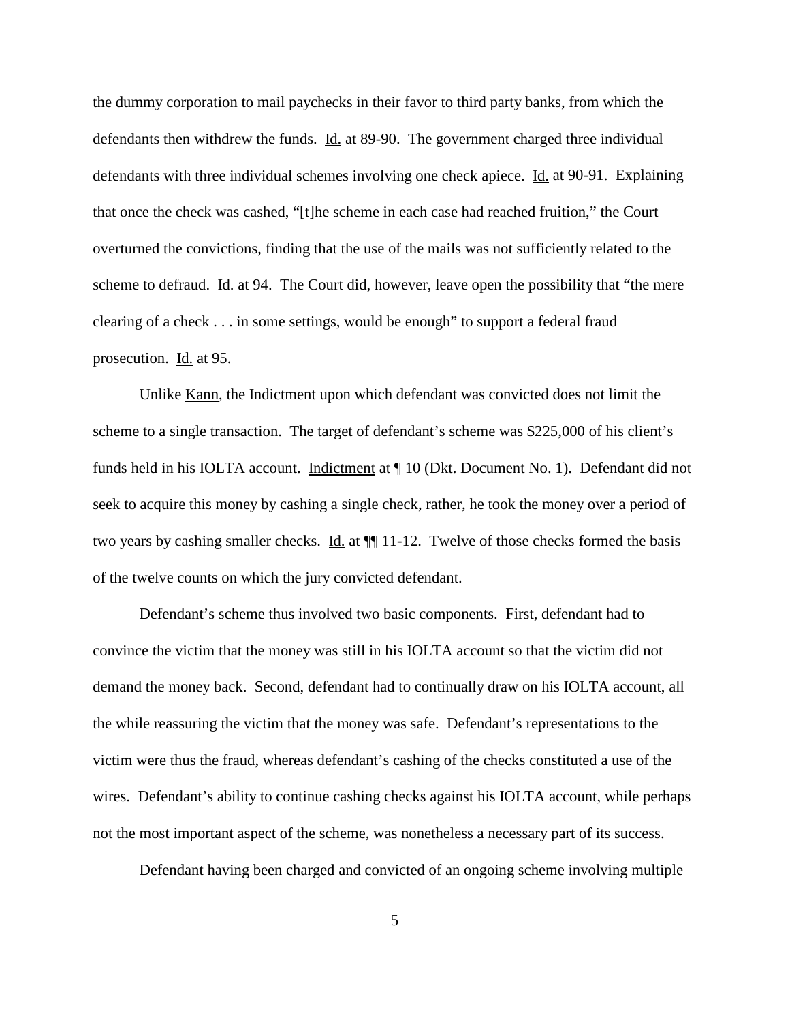the dummy corporation to mail paychecks in their favor to third party banks, from which the defendants then withdrew the funds. Id. at 89-90. The government charged three individual defendants with three individual schemes involving one check apiece. Id. at 90-91. Explaining that once the check was cashed, "[t]he scheme in each case had reached fruition," the Court overturned the convictions, finding that the use of the mails was not sufficiently related to the scheme to defraud. Id. at 94. The Court did, however, leave open the possibility that "the mere clearing of a check . . . in some settings, would be enough" to support a federal fraud prosecution. Id. at 95.

Unlike Kann, the Indictment upon which defendant was convicted does not limit the scheme to a single transaction. The target of defendant's scheme was \$225,000 of his client's funds held in his IOLTA account. Indictment at  $\P$  10 (Dkt. Document No. 1). Defendant did not seek to acquire this money by cashing a single check, rather, he took the money over a period of two years by cashing smaller checks. Id. at  $\P$  11-12. Twelve of those checks formed the basis of the twelve counts on which the jury convicted defendant.

Defendant's scheme thus involved two basic components. First, defendant had to convince the victim that the money was still in his IOLTA account so that the victim did not demand the money back. Second, defendant had to continually draw on his IOLTA account, all the while reassuring the victim that the money was safe. Defendant's representations to the victim were thus the fraud, whereas defendant's cashing of the checks constituted a use of the wires. Defendant's ability to continue cashing checks against his IOLTA account, while perhaps not the most important aspect of the scheme, was nonetheless a necessary part of its success.

Defendant having been charged and convicted of an ongoing scheme involving multiple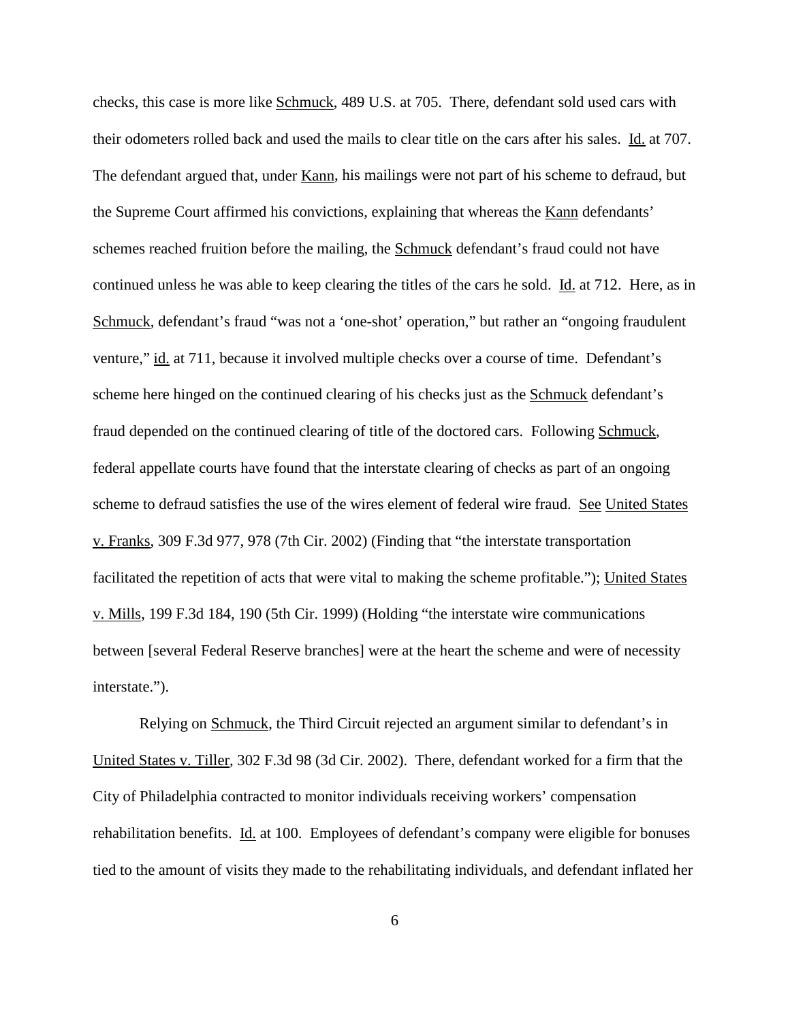checks, this case is more like Schmuck, 489 U.S. at 705. There, defendant sold used cars with their odometers rolled back and used the mails to clear title on the cars after his sales. Id. at 707. The defendant argued that, under Kann, his mailings were not part of his scheme to defraud, but the Supreme Court affirmed his convictions, explaining that whereas the Kann defendants' schemes reached fruition before the mailing, the **Schmuck** defendant's fraud could not have continued unless he was able to keep clearing the titles of the cars he sold. Id. at 712. Here, as in Schmuck, defendant's fraud "was not a 'one-shot' operation," but rather an "ongoing fraudulent venture," id. at 711, because it involved multiple checks over a course of time. Defendant's scheme here hinged on the continued clearing of his checks just as the Schmuck defendant's fraud depended on the continued clearing of title of the doctored cars. Following Schmuck, federal appellate courts have found that the interstate clearing of checks as part of an ongoing scheme to defraud satisfies the use of the wires element of federal wire fraud. See United States v. Franks, 309 F.3d 977, 978 (7th Cir. 2002) (Finding that "the interstate transportation facilitated the repetition of acts that were vital to making the scheme profitable."); United States v. Mills, 199 F.3d 184, 190 (5th Cir. 1999) (Holding "the interstate wire communications between [several Federal Reserve branches] were at the heart the scheme and were of necessity interstate.").

Relying on Schmuck, the Third Circuit rejected an argument similar to defendant's in United States v. Tiller, 302 F.3d 98 (3d Cir. 2002). There, defendant worked for a firm that the City of Philadelphia contracted to monitor individuals receiving workers' compensation rehabilitation benefits. Id. at 100. Employees of defendant's company were eligible for bonuses tied to the amount of visits they made to the rehabilitating individuals, and defendant inflated her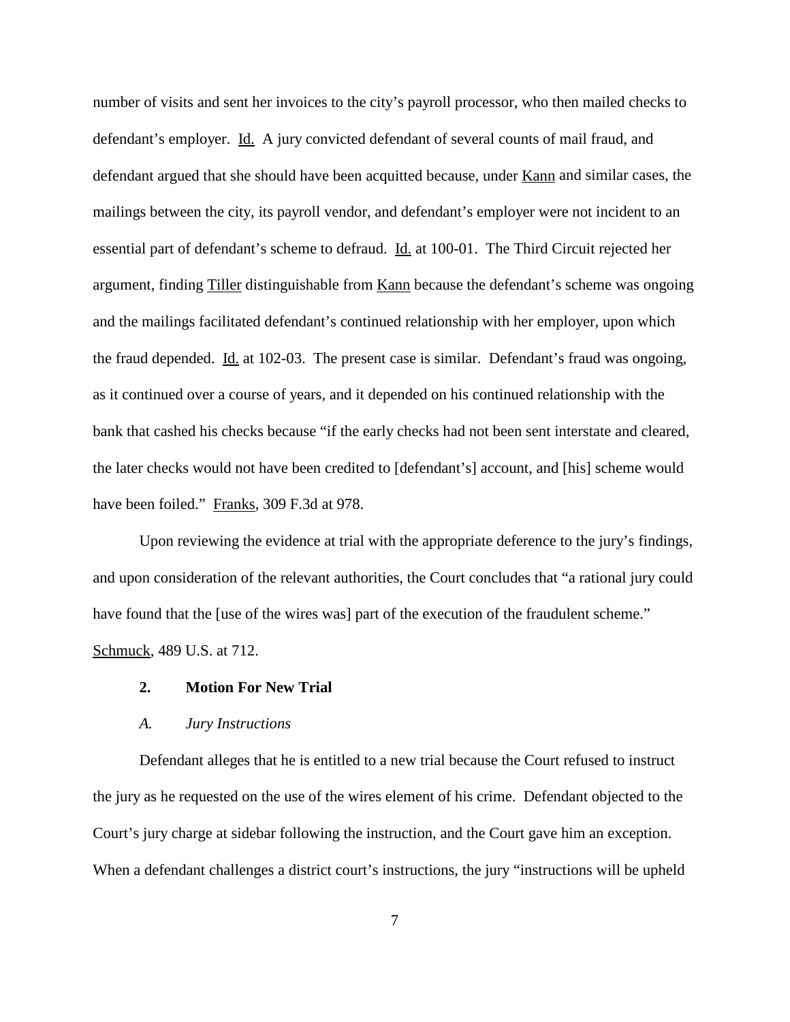number of visits and sent her invoices to the city's payroll processor, who then mailed checks to defendant's employer. Id. A jury convicted defendant of several counts of mail fraud, and defendant argued that she should have been acquitted because, under Kann and similar cases, the mailings between the city, its payroll vendor, and defendant's employer were not incident to an essential part of defendant's scheme to defraud. Id. at 100-01. The Third Circuit rejected her argument, finding Tiller distinguishable from Kann because the defendant's scheme was ongoing and the mailings facilitated defendant's continued relationship with her employer, upon which the fraud depended. Id. at 102-03. The present case is similar. Defendant's fraud was ongoing, as it continued over a course of years, and it depended on his continued relationship with the bank that cashed his checks because "if the early checks had not been sent interstate and cleared, the later checks would not have been credited to [defendant's] account, and [his] scheme would have been foiled." Franks, 309 F.3d at 978.

Upon reviewing the evidence at trial with the appropriate deference to the jury's findings, and upon consideration of the relevant authorities, the Court concludes that "a rational jury could have found that the [use of the wires was] part of the execution of the fraudulent scheme." Schmuck, 489 U.S. at 712.

### **2. Motion For New Trial**

#### *A. Jury Instructions*

Defendant alleges that he is entitled to a new trial because the Court refused to instruct the jury as he requested on the use of the wires element of his crime. Defendant objected to the Court's jury charge at sidebar following the instruction, and the Court gave him an exception. When a defendant challenges a district court's instructions, the jury "instructions will be upheld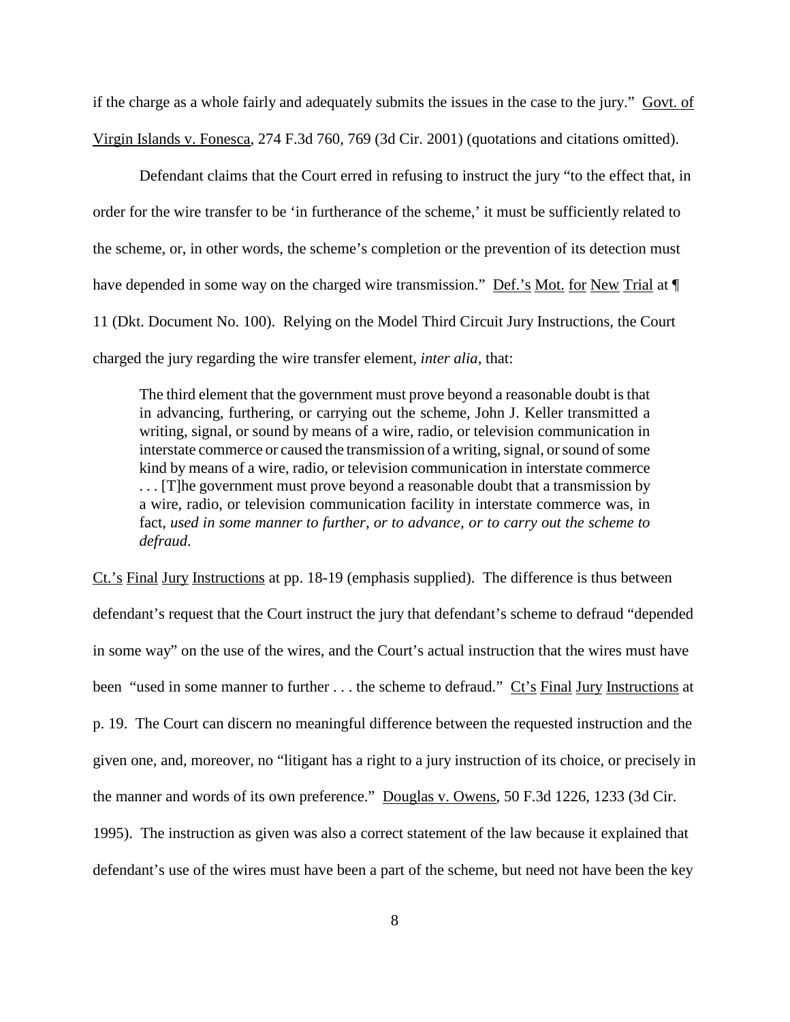if the charge as a whole fairly and adequately submits the issues in the case to the jury." Govt. of Virgin Islands v. Fonesca, 274 F.3d 760, 769 (3d Cir. 2001) (quotations and citations omitted).

Defendant claims that the Court erred in refusing to instruct the jury "to the effect that, in order for the wire transfer to be 'in furtherance of the scheme,' it must be sufficiently related to the scheme, or, in other words, the scheme's completion or the prevention of its detection must have depended in some way on the charged wire transmission." Def.'s Mot. for New Trial at  $\P$ 11 (Dkt. Document No. 100). Relying on the Model Third Circuit Jury Instructions, the Court charged the jury regarding the wire transfer element, *inter alia*, that:

The third element that the government must prove beyond a reasonable doubt is that in advancing, furthering, or carrying out the scheme, John J. Keller transmitted a writing, signal, or sound by means of a wire, radio, or television communication in interstate commerce or caused the transmission of a writing, signal, or sound of some kind by means of a wire, radio, or television communication in interstate commerce . . . [T]he government must prove beyond a reasonable doubt that a transmission by a wire, radio, or television communication facility in interstate commerce was, in fact, *used in some manner to further, or to advance, or to carry out the scheme to defraud*.

Ct.'s Final Jury Instructions at pp. 18-19 (emphasis supplied). The difference is thus between defendant's request that the Court instruct the jury that defendant's scheme to defraud "depended in some way" on the use of the wires, and the Court's actual instruction that the wires must have been "used in some manner to further . . . the scheme to defraud." Ct's Final Jury Instructions at p. 19. The Court can discern no meaningful difference between the requested instruction and the given one, and, moreover, no "litigant has a right to a jury instruction of its choice, or precisely in the manner and words of its own preference." Douglas v. Owens, 50 F.3d 1226, 1233 (3d Cir. 1995). The instruction as given was also a correct statement of the law because it explained that defendant's use of the wires must have been a part of the scheme, but need not have been the key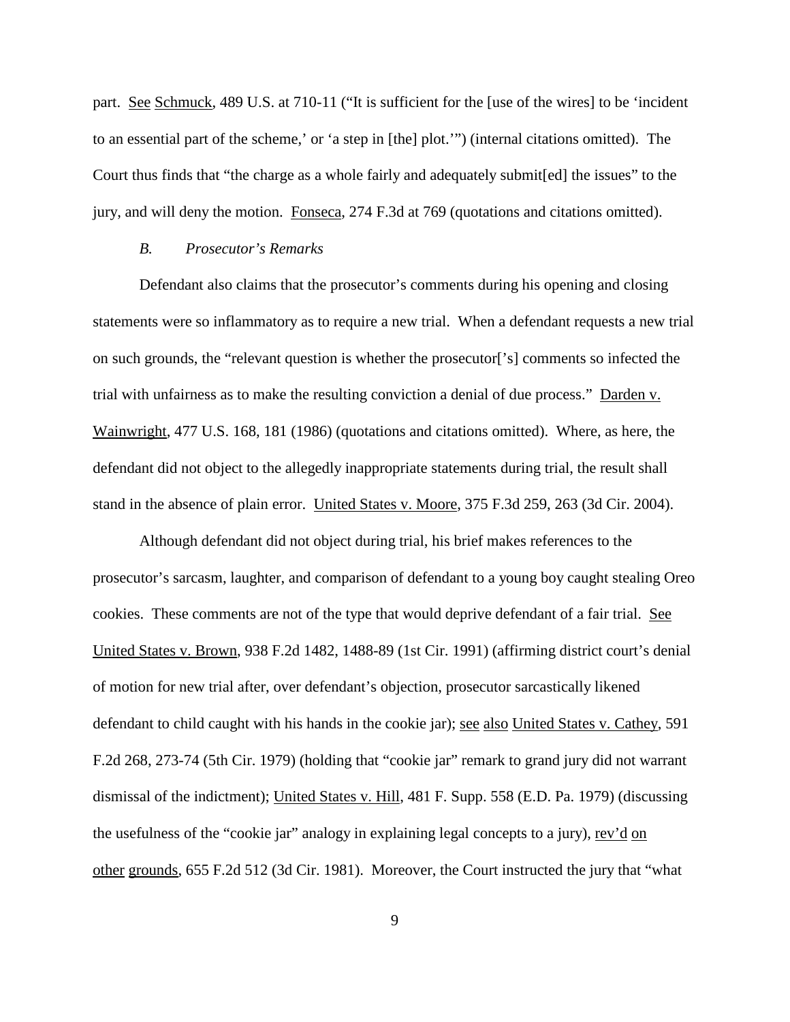part. See Schmuck, 489 U.S. at 710-11 ("It is sufficient for the [use of the wires] to be 'incident to an essential part of the scheme,' or 'a step in [the] plot.'") (internal citations omitted). The Court thus finds that "the charge as a whole fairly and adequately submit[ed] the issues" to the jury, and will deny the motion. Fonseca, 274 F.3d at 769 (quotations and citations omitted).

#### *B. Prosecutor's Remarks*

Defendant also claims that the prosecutor's comments during his opening and closing statements were so inflammatory as to require a new trial. When a defendant requests a new trial on such grounds, the "relevant question is whether the prosecutor['s] comments so infected the trial with unfairness as to make the resulting conviction a denial of due process." Darden v. Wainwright, 477 U.S. 168, 181 (1986) (quotations and citations omitted). Where, as here, the defendant did not object to the allegedly inappropriate statements during trial, the result shall stand in the absence of plain error. United States v. Moore, 375 F.3d 259, 263 (3d Cir. 2004).

Although defendant did not object during trial, his brief makes references to the prosecutor's sarcasm, laughter, and comparison of defendant to a young boy caught stealing Oreo cookies. These comments are not of the type that would deprive defendant of a fair trial. See United States v. Brown, 938 F.2d 1482, 1488-89 (1st Cir. 1991) (affirming district court's denial of motion for new trial after, over defendant's objection, prosecutor sarcastically likened defendant to child caught with his hands in the cookie jar); <u>see also United States v. Cathey</u>, 591 F.2d 268, 273-74 (5th Cir. 1979) (holding that "cookie jar" remark to grand jury did not warrant dismissal of the indictment); United States v. Hill, 481 F. Supp. 558 (E.D. Pa. 1979) (discussing the usefulness of the "cookie jar" analogy in explaining legal concepts to a jury), rev'd on other grounds, 655 F.2d 512 (3d Cir. 1981). Moreover, the Court instructed the jury that "what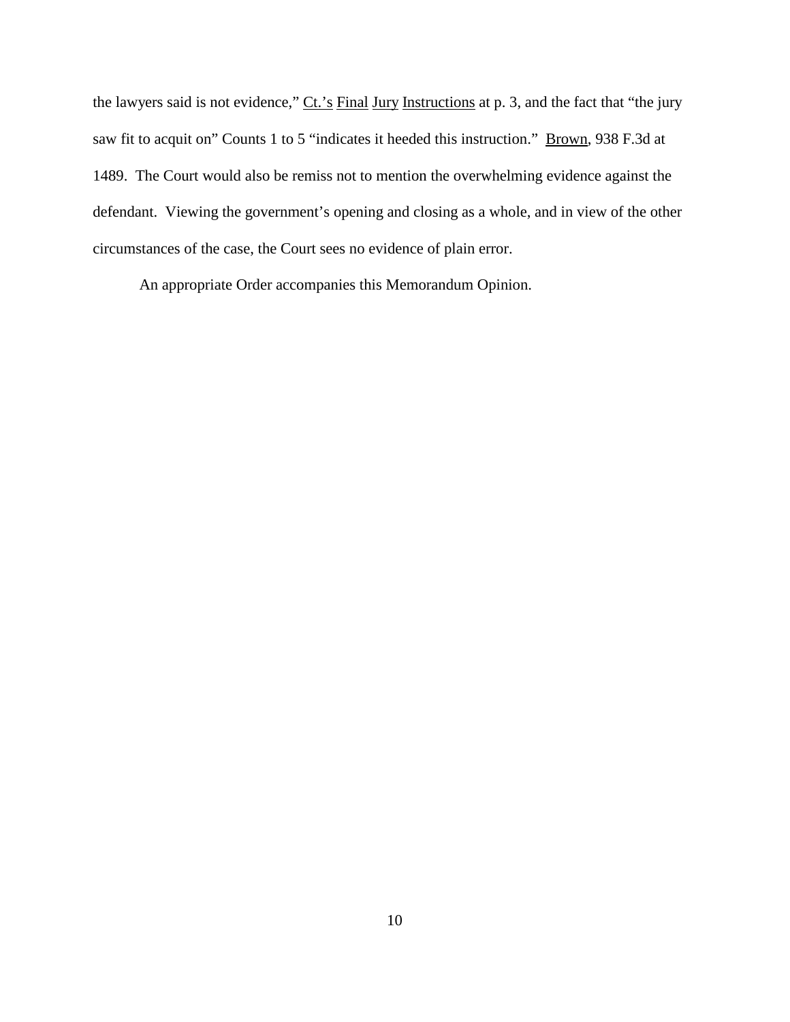the lawyers said is not evidence," Ct.'s Final Jury Instructions at p. 3, and the fact that "the jury saw fit to acquit on" Counts 1 to 5 "indicates it heeded this instruction." Brown, 938 F.3d at 1489. The Court would also be remiss not to mention the overwhelming evidence against the defendant. Viewing the government's opening and closing as a whole, and in view of the other circumstances of the case, the Court sees no evidence of plain error.

An appropriate Order accompanies this Memorandum Opinion.